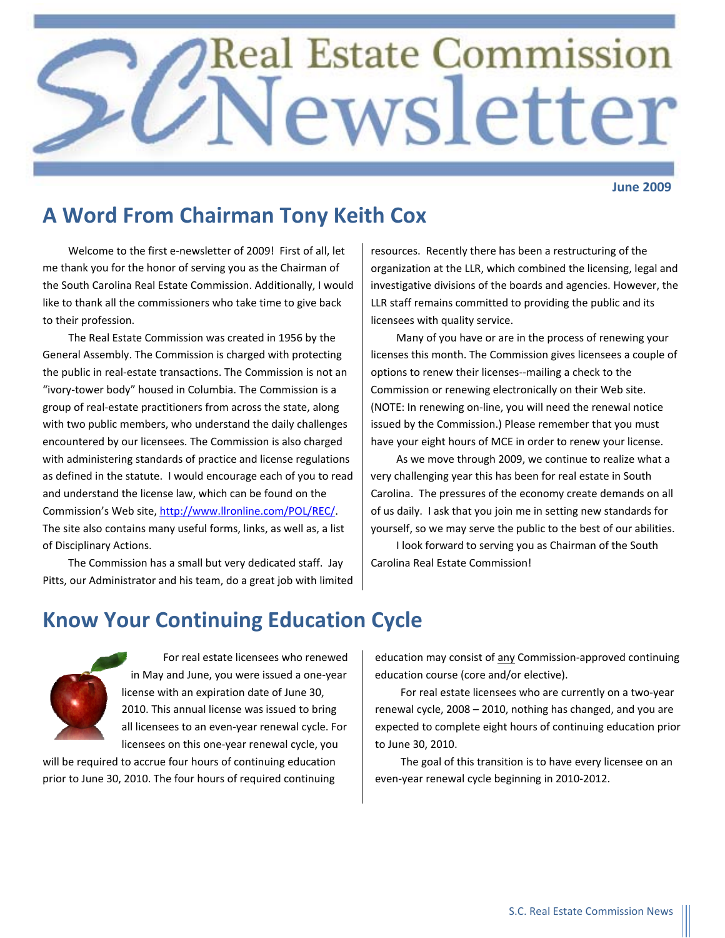# **Real Estate Commission** ewsletter

**June 2009**

## **A Word From Chairman Tony Keith Cox**

Welcome to the first e‐newsletter of 2009! First of all, let me thank you for the honor of serving you as the Chairman of the South Carolina Real Estate Commission. Additionally, I would like to thank all the commissioners who take time to give back to their profession.

The Real Estate Commission was created in 1956 by the General Assembly. The Commission is charged with protecting the public in real‐estate transactions. The Commission is not an "ivory‐tower body" housed in Columbia. The Commission is a group of real‐estate practitioners from across the state, along with two public members, who understand the daily challenges encountered by our licensees. The Commission is also charged with administering standards of practice and license regulations as defined in the statute. I would encourage each of you to read and understand the license law, which can be found on the Commission's Web site, <http://www.llronline.com/POL/REC/>. The site also contains many useful forms, links, as well as, a list of Disciplinary Actions.

The Commission has a small but very dedicated staff. Jay Pitts, our Administrator and his team, do a great job with limited resources. Recently there has been a restructuring of the organization at the LLR, which combined the licensing, legal and investigative divisions of the boards and agencies. However, the LLR staff remains committed to providing the public and its licensees with quality service.

Many of you have or are in the process of renewing your licenses this month. The Commission gives licensees a couple of options to renew their licenses‐‐mailing a check to the Commission or renewing electronically on their Web site. (NOTE: In renewing on‐line, you will need the renewal notice issued by the Commission.) Please remember that you must have your eight hours of MCE in order to renew your license.

As we move through 2009, we continue to realize what a very challenging year this has been for real estate in South Carolina. The pressures of the economy create demands on all of us daily. I ask that you join me in setting new standards for yourself, so we may serve the public to the best of our abilities.

I look forward to serving you as Chairman of the South Carolina Real Estate Commission!

## **Know Your Continuing Education Cycle**



For real estate licensees who renewed in May and June, you were issued a one‐year license with an expiration date of June 30, 2010. This annual license was issued to bring all licensees to an even‐year renewal cycle. For licensees on this one‐year renewal cycle, you

will be required to accrue four hours of continuing education prior to June 30, 2010. The four hours of required continuing education may consist of any Commission-approved continuing education course (core and/or elective).

For real estate licensees who are currently on a two‐year renewal cycle, 2008 – 2010, nothing has changed, and you are expected to complete eight hours of continuing education prior to June 30, 2010.

The goal of this transition is to have every licensee on an even‐year renewal cycle beginning in 2010‐2012.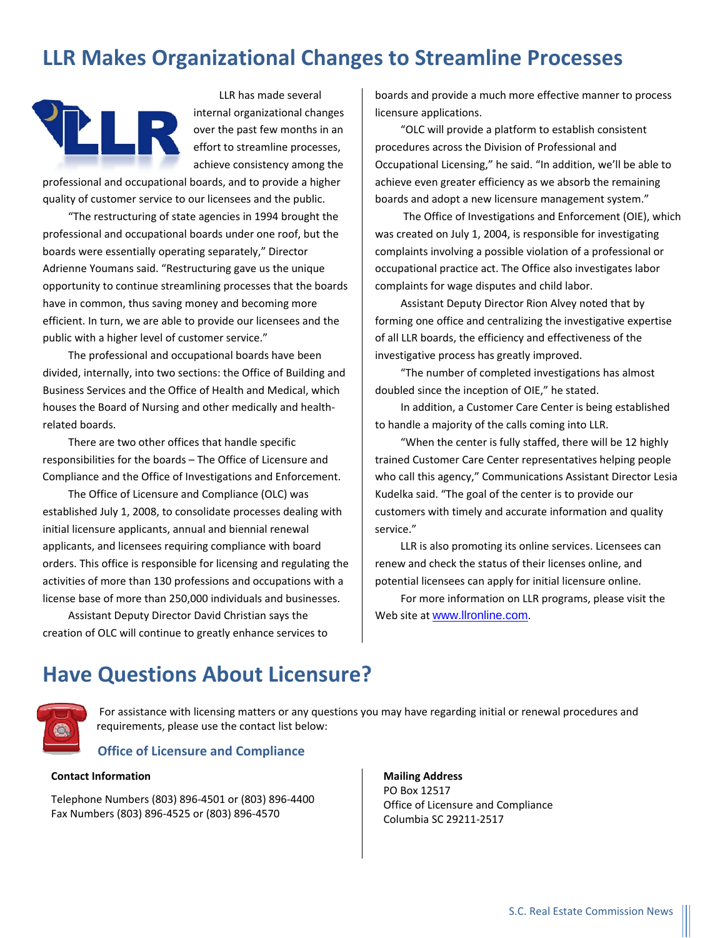## **LLR Makes Organizational Changes to Streamline Processes**



LLR has made several internal organizational changes over the past few months in an effort to streamline processes, achieve consistency among the

professional and occupational boards, and to provide a higher quality of customer service to our licensees and the public.

"The restructuring of state agencies in 1994 brought the professional and occupational boards under one roof, but the boards were essentially operating separately," Director Adrienne Youmans said. "Restructuring gave us the unique opportunity to continue streamlining processes that the boards have in common, thus saving money and becoming more efficient. In turn, we are able to provide our licensees and the public with a higher level of customer service."

The professional and occupational boards have been divided, internally, into two sections: the Office of Building and Business Services and the Office of Health and Medical, which houses the Board of Nursing and other medically and health‐ related boards.

There are two other offices that handle specific responsibilities for the boards – The Office of Licensure and Compliance and the Office of Investigations and Enforcement.

The Office of Licensure and Compliance (OLC) was established July 1, 2008, to consolidate processes dealing with initial licensure applicants, annual and biennial renewal applicants, and licensees requiring compliance with board orders. This office is responsible for licensing and regulating the activities of more than 130 professions and occupations with a license base of more than 250,000 individuals and businesses.

Assistant Deputy Director David Christian says the creation of OLC will continue to greatly enhance services to

boards and provide a much more effective manner to process licensure applications.

"OLC will provide a platform to establish consistent procedures across the Division of Professional and Occupational Licensing," he said. "In addition, we'll be able to achieve even greater efficiency as we absorb the remaining boards and adopt a new licensure management system."

The Office of Investigations and Enforcement (OIE), which was created on July 1, 2004, is responsible for investigating complaints involving a possible violation of a professional or occupational practice act. The Office also investigates labor complaints for wage disputes and child labor.

Assistant Deputy Director Rion Alvey noted that by forming one office and centralizing the investigative expertise of all LLR boards, the efficiency and effectiveness of the investigative process has greatly improved.

"The number of completed investigations has almost doubled since the inception of OIE," he stated.

In addition, a Customer Care Center is being established to handle a majority of the calls coming into LLR.

"When the center is fully staffed, there will be 12 highly trained Customer Care Center representatives helping people who call this agency," Communications Assistant Director Lesia Kudelka said. "The goal of the center is to provide our customers with timely and accurate information and quality service."

LLR is also promoting its online services. Licensees can renew and check the status of their licenses online, and potential licensees can apply for initial licensure online.

For more information on LLR programs, please visit the Web site at [www.llronline.com](http://www.llronline.com/).

#### **Have Questions About Licensure?**



For assistance with licensing matters or any questions you may have regarding initial or renewal procedures and requirements, please use the contact list below:

#### **Office of Licensure and Compliance**

#### **Contact Information**

Telephone Numbers (803) 896‐4501 or (803) 896‐4400 Fax Numbers (803) 896‐4525 or (803) 896‐4570

**Mailing Address** PO Box 12517 Office of Licensure and Compliance Columbia SC 29211‐2517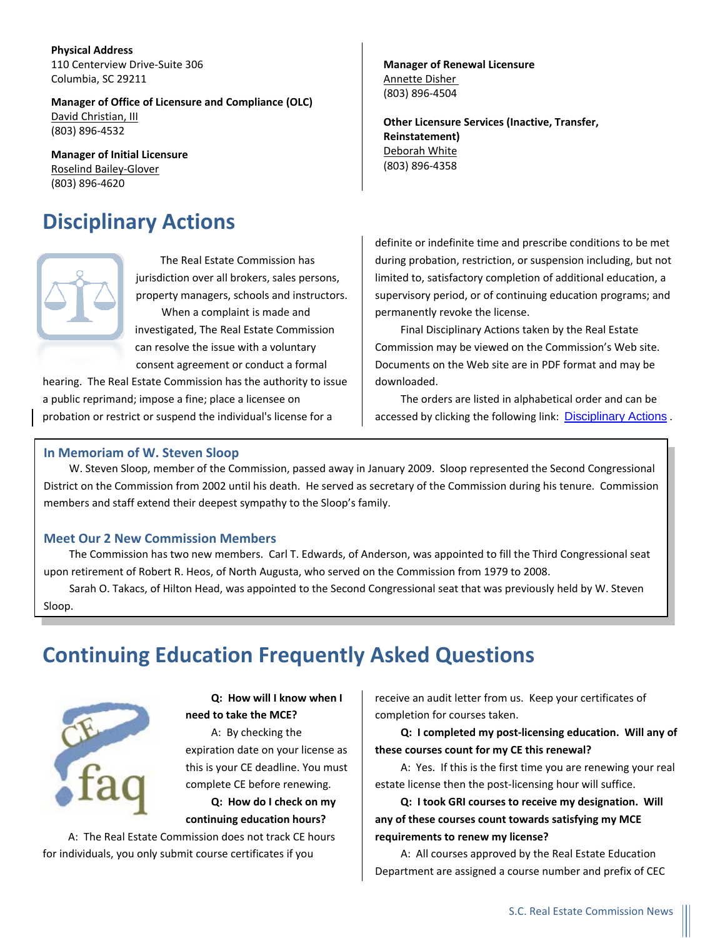**Physical Address** 110 Centerview Drive‐Suite 306 Columbia, SC 29211

**Manager of Office of Licensure and Compliance (OLC)** David [Christian,](mailto:christiand@llr.sc.gov) III (803) 896‐4532

**Manager of Initial Licensure** [Roselind](mailto:gloverr@llr.sc.gov) Bailey‐Glover (803) 896‐4620

## **Disciplinary Actions**

The Real Estate Commission has jurisdiction over all brokers, sales persons, property managers, schools and instructors. When a complaint is made and investigated, The Real Estate Commission can resolve the issue with a voluntary consent agreement or conduct a formal

hearing. The Real Estate Commission has the authority to issue a public reprimand; impose a fine; place a licensee on probation or restrict or suspend the individual's license for a

#### **Manager of Renewal Licensure** [Annette](mailto:dishera@llr.sc.gov) Disher (803) 896‐4504

**Other Licensure Services (Inactive, Transfer, Reinstatement)** [Deborah](mailto:whited@llr.sc.gov) White (803) 896‐4358

definite or indefinite time and prescribe conditions to be met during probation, restriction, or suspension including, but not limited to, satisfactory completion of additional education, a supervisory period, or of continuing education programs; and permanently revoke the license.

Final Disciplinary Actions taken by the Real Estate Commission may be viewed on the Commission's Web site. Documents on the Web site are in PDF format and may be downloaded.

The orders are listed in alphabetical order and can be accessed by clicking the following link: [Disciplinary Actions](http://www.llronline.com/POL/REC/index.asp?file=Final%20Orders.htm) .

#### **In Memoriam of W. Steven Sloop**

W. Steven Sloop, member of the Commission, passed away in January 2009. Sloop represented the Second Congressional District on the Commission from 2002 until his death. He served as secretary of the Commission during his tenure. Commission members and staff extend their deepest sympathy to the Sloop's family.

#### **Meet Our 2 New Commission Members**

The Commission has two new members. Carl T. Edwards, of Anderson, was appointed to fill the Third Congressional seat upon retirement of Robert R. Heos, of North Augusta, who served on the Commission from 1979 to 2008.

Sarah O. Takacs, of Hilton Head, was appointed to the Second Congressional seat that was previously held by W. Steven Sloop.

## **Continuing Education Frequently Asked Questions**



**Q: How will I know when I need to take the MCE?**

A: By checking the expiration date on your license as this is your CE deadline. You must complete CE before renewing. **Q: How do I check on my continuing education hours?** 

A: The Real Estate Commission does not track CE hours for individuals, you only submit course certificates if you

receive an audit letter from us. Keep your certificates of completion for courses taken.

**Q: I completed my post‐licensing education. Will any of these courses count for my CE this renewal?**

A: Yes. If this is the first time you are renewing your real estate license then the post‐licensing hour will suffice.

**Q: I took GRI courses to receive my designation. Will any of these courses count towards satisfying my MCE requirements to renew my license?**

A: All courses approved by the Real Estate Education Department are assigned a course number and prefix of CEC